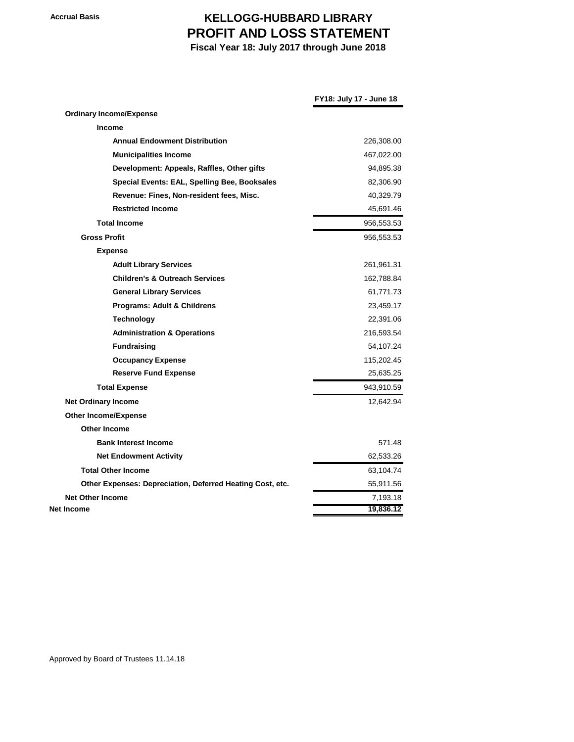## **Accrual Basis KELLOGG-HUBBARD LIBRARY PROFIT AND LOSS STATEMENT**

 **Fiscal Year 18: July 2017 through June 2018**

|                                                           | FY18: July 17 - June 18 |
|-----------------------------------------------------------|-------------------------|
| <b>Ordinary Income/Expense</b>                            |                         |
| Income                                                    |                         |
| <b>Annual Endowment Distribution</b>                      | 226,308.00              |
| <b>Municipalities Income</b>                              | 467,022.00              |
| Development: Appeals, Raffles, Other gifts                | 94,895.38               |
| Special Events: EAL, Spelling Bee, Booksales              | 82,306.90               |
| Revenue: Fines, Non-resident fees, Misc.                  | 40,329.79               |
| <b>Restricted Income</b>                                  | 45,691.46               |
| <b>Total Income</b>                                       | 956,553.53              |
| <b>Gross Profit</b>                                       | 956,553.53              |
| <b>Expense</b>                                            |                         |
| <b>Adult Library Services</b>                             | 261,961.31              |
| <b>Children's &amp; Outreach Services</b>                 | 162,788.84              |
| <b>General Library Services</b>                           | 61,771.73               |
| Programs: Adult & Childrens                               | 23,459.17               |
| <b>Technology</b>                                         | 22,391.06               |
| <b>Administration &amp; Operations</b>                    | 216,593.54              |
| <b>Fundraising</b>                                        | 54,107.24               |
| <b>Occupancy Expense</b>                                  | 115,202.45              |
| <b>Reserve Fund Expense</b>                               | 25,635.25               |
| <b>Total Expense</b>                                      | 943,910.59              |
| <b>Net Ordinary Income</b>                                | 12,642.94               |
| <b>Other Income/Expense</b>                               |                         |
| <b>Other Income</b>                                       |                         |
| <b>Bank Interest Income</b>                               | 571.48                  |
| <b>Net Endowment Activity</b>                             | 62,533.26               |
| <b>Total Other Income</b>                                 | 63,104.74               |
| Other Expenses: Depreciation, Deferred Heating Cost, etc. | 55,911.56               |
| <b>Net Other Income</b>                                   | 7,193.18                |
| Net Income                                                | 19,836.12               |